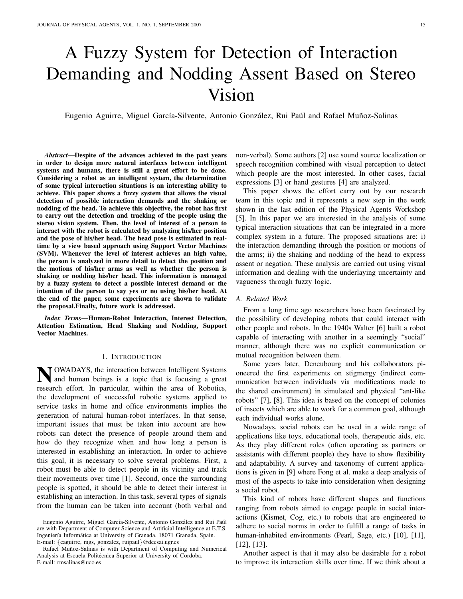# A Fuzzy System for Detection of Interaction Demanding and Nodding Assent Based on Stereo Vision

Eugenio Aguirre, Miguel García-Silvente, Antonio González, Rui Paúl and Rafael Muñoz-Salinas

*Abstract*—Despite of the advances achieved in the past years in order to design more natural interfaces between intelligent systems and humans, there is still a great effort to be done. Considering a robot as an intelligent system, the determination of some typical interaction situations is an interesting ability to achieve. This paper shows a fuzzy system that allows the visual detection of possible interaction demands and the shaking or nodding of the head. To achieve this objective, the robot has first to carry out the detection and tracking of the people using the stereo vision system. Then, the level of interest of a person to interact with the robot is calculated by analyzing his/her position and the pose of his/her head. The head pose is estimated in realtime by a view based approach using Support Vector Machines (SVM). Whenever the level of interest achieves an high value, the person is analyzed in more detail to detect the position and the motions of his/her arms as well as whether the person is shaking or nodding his/her head. This information is managed by a fuzzy system to detect a possible interest demand or the intention of the person to say yes or no using his/her head. At the end of the paper, some experiments are shown to validate the proposal.Finally, future work is addressed.

*Index Terms*—Human-Robot Interaction, Interest Detection, Attention Estimation, Head Shaking and Nodding, Support Vector Machines.

#### I. INTRODUCTION

N OWADAYS, the interaction between Intelligent Systems<br>and human beings is a topic that is focusing a great and human beings is a topic that is focusing a great research effort. In particular, within the area of Robotics, the development of successful robotic systems applied to service tasks in home and office environments implies the generation of natural human-robot interfaces. In that sense, important issues that must be taken into account are how robots can detect the presence of people around them and how do they recognize when and how long a person is interested in establishing an interaction. In order to achieve this goal, it is necessary to solve several problems. First, a robot must be able to detect people in its vicinity and track their movements over time [1]. Second, once the surrounding people is spotted, it should be able to detect their interest in establishing an interaction. In this task, several types of signals from the human can be taken into account (both verbal and

Eugenio Aguirre, Miguel García-Silvente, Antonio González and Rui Paúl are with Department of Computer Science and Artificial Intelligence at E.T.S. Ingeniería Informática at University of Granada. 18071 Granada, Spain. E-mail: {eaguirre, mgs, gonzalez, ruipaul}@decsai.ugr.es

Rafael Muñoz-Salinas is with Department of Computing and Numerical Analysis at Escuela Politécnica Superior at University of Cordoba. E-mail: rmsalinas@uco.es

non-verbal). Some authors [2] use sound source localization or speech recognition combined with visual perception to detect which people are the most interested. In other cases, facial expressions [3] or hand gestures [4] are analyzed.

This paper shows the effort carry out by our research team in this topic and it represents a new step in the work shown in the last edition of the Physical Agents Workshop [5]. In this paper we are interested in the analysis of some typical interaction situations that can be integrated in a more complex system in a future. The proposed situations are: i) the interaction demanding through the position or motions of the arms; ii) the shaking and nodding of the head to express assent or negation. These analysis are carried out using visual information and dealing with the underlaying uncertainty and vagueness through fuzzy logic.

#### *A. Related Work*

From a long time ago researchers have been fascinated by the possibility of developing robots that could interact with other people and robots. In the 1940s Walter [6] built a robot capable of interacting with another in a seemingly "social" manner, although there was no explicit communication or mutual recognition between them.

Some years later, Deneubourg and his collaborators pioneered the first experiments on stigmergy (indirect communication between individuals via modifications made to the shared environment) in simulated and physical "ant-like robots" [7], [8]. This idea is based on the concept of colonies of insects which are able to work for a common goal, although each individual works alone.

Nowadays, social robots can be used in a wide range of applications like toys, educational tools, therapeutic aids, etc. As they play different roles (often operating as partners or assistants with different people) they have to show flexibility and adaptability. A survey and taxonomy of current applications is given in [9] where Fong et al. make a deep analysis of most of the aspects to take into consideration when designing a social robot.

This kind of robots have different shapes and functions ranging from robots aimed to engage people in social interactions (Kismet, Cog, etc.) to robots that are engineered to adhere to social norms in order to fulfill a range of tasks in human-inhabited environments (Pearl, Sage, etc.) [10], [11], [12], [13].

Another aspect is that it may also be desirable for a robot to improve its interaction skills over time. If we think about a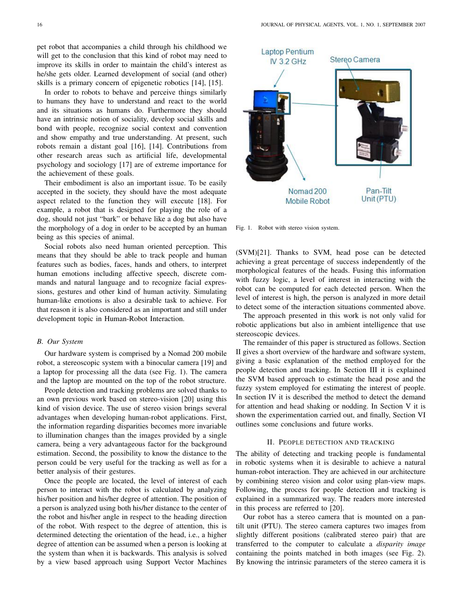pet robot that accompanies a child through his childhood we will get to the conclusion that this kind of robot may need to improve its skills in order to maintain the child's interest as he/she gets older. Learned development of social (and other) skills is a primary concern of epigenetic robotics [14], [15].

In order to robots to behave and perceive things similarly to humans they have to understand and react to the world and its situations as humans do. Furthermore they should have an intrinsic notion of sociality, develop social skills and bond with people, recognize social context and convention and show empathy and true understanding. At present, such robots remain a distant goal [16], [14]. Contributions from other research areas such as artificial life, developmental psychology and sociology [17] are of extreme importance for the achievement of these goals.

Their embodiment is also an important issue. To be easily accepted in the society, they should have the most adequate aspect related to the function they will execute [18]. For example, a robot that is designed for playing the role of a dog, should not just "bark" or behave like a dog but also have the morphology of a dog in order to be accepted by an human being as this species of animal.

Social robots also need human oriented perception. This means that they should be able to track people and human features such as bodies, faces, hands and others, to interpret human emotions including affective speech, discrete commands and natural language and to recognize facial expressions, gestures and other kind of human activity. Simulating human-like emotions is also a desirable task to achieve. For that reason it is also considered as an important and still under development topic in Human-Robot Interaction.

## *B. Our System*

Our hardware system is comprised by a Nomad 200 mobile robot, a stereoscopic system with a binocular camera [19] and a laptop for processing all the data (see Fig. 1). The camera and the laptop are mounted on the top of the robot structure.

People detection and tracking problems are solved thanks to an own previous work based on stereo-vision [20] using this kind of vision device. The use of stereo vision brings several advantages when developing human-robot applications. First, the information regarding disparities becomes more invariable to illumination changes than the images provided by a single camera, being a very advantageous factor for the background estimation. Second, the possibility to know the distance to the person could be very useful for the tracking as well as for a better analysis of their gestures.

Once the people are located, the level of interest of each person to interact with the robot is calculated by analyzing his/her position and his/her degree of attention. The position of a person is analyzed using both his/her distance to the center of the robot and his/her angle in respect to the heading direction of the robot. With respect to the degree of attention, this is determined detecting the orientation of the head, i.e., a higher degree of attention can be assumed when a person is looking at the system than when it is backwards. This analysis is solved by a view based approach using Support Vector Machines



Fig. 1. Robot with stereo vision system.

(SVM)[21]. Thanks to SVM, head pose can be detected achieving a great percentage of success independently of the morphological features of the heads. Fusing this information with fuzzy logic, a level of interest in interacting with the robot can be computed for each detected person. When the level of interest is high, the person is analyzed in more detail to detect some of the interaction situations commented above.

The approach presented in this work is not only valid for robotic applications but also in ambient intelligence that use stereoscopic devices.

The remainder of this paper is structured as follows. Section II gives a short overview of the hardware and software system, giving a basic explanation of the method employed for the people detection and tracking. In Section III it is explained the SVM based approach to estimate the head pose and the fuzzy system employed for estimating the interest of people. In section IV it is described the method to detect the demand for attention and head shaking or nodding. In Section V it is shown the experimentation carried out, and finally, Section VI outlines some conclusions and future works.

## II. PEOPLE DETECTION AND TRACKING

The ability of detecting and tracking people is fundamental in robotic systems when it is desirable to achieve a natural human-robot interaction. They are achieved in our architecture by combining stereo vision and color using plan-view maps. Following, the process for people detection and tracking is explained in a summarized way. The readers more interested in this process are referred to [20].

Our robot has a stereo camera that is mounted on a pantilt unit (PTU). The stereo camera captures two images from slightly different positions (calibrated stereo pair) that are transferred to the computer to calculate a *disparity image* containing the points matched in both images (see Fig. 2). By knowing the intrinsic parameters of the stereo camera it is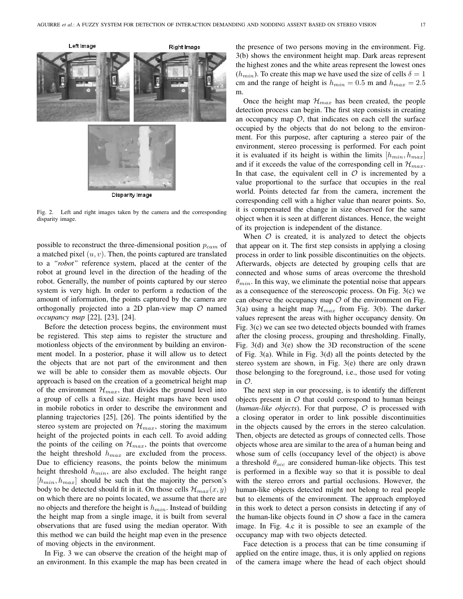

Fig. 2. Left and right images taken by the camera and the corresponding disparity image.

possible to reconstruct the three-dimensional position  $p_{cam}$  of a matched pixel  $(u, v)$ . Then, the points captured are translated to a *"robot"* reference system, placed at the center of the robot at ground level in the direction of the heading of the robot. Generally, the number of points captured by our stereo system is very high. In order to perform a reduction of the amount of information, the points captured by the camera are orthogonally projected into a 2D plan-view map  $O$  named *occupancy map* [22], [23], [24].

Before the detection process begins, the environment must be registered. This step aims to register the structure and motionless objects of the environment by building an environment model. In a posterior, phase it will allow us to detect the objects that are not part of the environment and then we will be able to consider them as movable objects. Our approach is based on the creation of a geometrical height map of the environment  $\mathcal{H}_{max}$ , that divides the ground level into a group of cells a fixed size. Height maps have been used in mobile robotics in order to describe the environment and planning trajectories [25], [26]. The points identified by the stereo system are projected on  $\mathcal{H}_{max}$ , storing the maximum height of the projected points in each cell. To avoid adding the points of the ceiling on  $\mathcal{H}_{max}$ , the points that overcome the height threshold  $h_{max}$  are excluded from the process. Due to efficiency reasons, the points below the minimum height threshold  $h_{min}$ , are also excluded. The height range  $[h_{min}, h_{max}]$  should be such that the majority the person's body to be detected should fit in it. On those cells  $\mathcal{H}_{max}(x, y)$ on which there are no points located, we assume that there are no objects and therefore the height is  $h_{min}$ . Instead of building the height map from a single image, it is built from several observations that are fused using the median operator. With this method we can build the height map even in the presence of moving objects in the environment.

In Fig. 3 we can observe the creation of the height map of an environment. In this example the map has been created in the presence of two persons moving in the environment. Fig. 3(b) shows the environment height map. Dark areas represent the highest zones and the white areas represent the lowest ones  $(h_{min})$ . To create this map we have used the size of cells  $\delta = 1$ cm and the range of height is  $h_{min} = 0.5$  m and  $h_{max} = 2.5$ m.

Once the height map  $\mathcal{H}_{max}$  has been created, the people detection process can begin. The first step consists in creating an occupancy map  $O$ , that indicates on each cell the surface occupied by the objects that do not belong to the environment. For this purpose, after capturing a stereo pair of the environment, stereo processing is performed. For each point it is evaluated if its height is within the limits  $[h_{min}, h_{max}]$ and if it exceeds the value of the corresponding cell in  $\mathcal{H}_{max}$ . In that case, the equivalent cell in  $\mathcal O$  is incremented by a value proportional to the surface that occupies in the real world. Points detected far from the camera, increment the corresponding cell with a higher value than nearer points. So, it is compensated the change in size observed for the same object when it is seen at different distances. Hence, the weight of its projection is independent of the distance.

When  $\mathcal O$  is created, it is analyzed to detect the objects that appear on it. The first step consists in applying a closing process in order to link possible discontinuities on the objects. Afterwards, objects are detected by grouping cells that are connected and whose sums of areas overcome the threshold  $\theta_{min}$ . In this way, we eliminate the potential noise that appears as a consequence of the stereoscopic process. On Fig. 3(c) we can observe the occupancy map  $\mathcal O$  of the environment on Fig. 3(a) using a height map  $\mathcal{H}_{max}$  from Fig. 3(b). The darker values represent the areas with higher occupancy density. On Fig. 3(c) we can see two detected objects bounded with frames after the closing process, grouping and thresholding. Finally, Fig. 3(d) and 3(e) show the 3D reconstruction of the scene of Fig. 3(a). While in Fig. 3(d) all the points detected by the stereo system are shown, in Fig. 3(e) there are only drawn those belonging to the foreground, i.e., those used for voting in  $\mathcal{O}$ .

The next step in our processing, is to identify the different objects present in  $O$  that could correspond to human beings (*human-like objects*). For that purpose,  $\mathcal O$  is processed with a closing operator in order to link possible discontinuities in the objects caused by the errors in the stereo calculation. Then, objects are detected as groups of connected cells. Those objects whose area are similar to the area of a human being and whose sum of cells (occupancy level of the object) is above a threshold  $\theta_{occ}$  are considered human-like objects. This test is performed in a flexible way so that it is possible to deal with the stereo errors and partial occlusions. However, the human-like objects detected might not belong to real people but to elements of the environment. The approach employed in this work to detect a person consists in detecting if any of the human-like objects found in  $\mathcal O$  show a face in the camera image. In Fig. 4.c it is possible to see an example of the occupancy map with two objects detected.

Face detection is a process that can be time consuming if applied on the entire image, thus, it is only applied on regions of the camera image where the head of each object should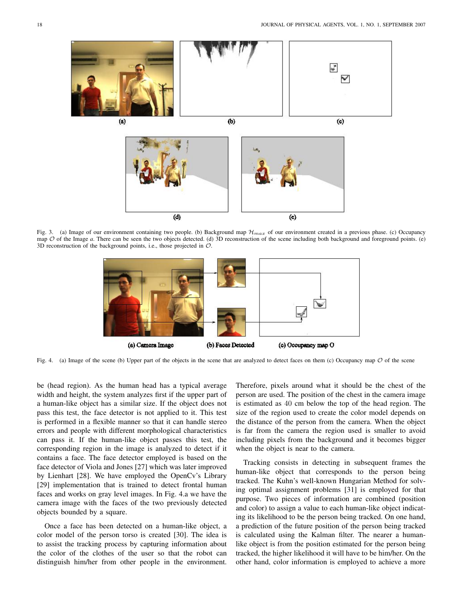

Fig. 3. (a) Image of our environment containing two people. (b) Background map  $\mathcal{H}_{max}$  of our environment created in a previous phase. (c) Occupancy map  $O$  of the Image *a*. There can be seen the two objects detected. (d) 3D reconstruction of the scene including both background and foreground points. (e) 3D reconstruction of the background points, i.e., those projected in O.



Fig. 4. (a) Image of the scene (b) Upper part of the objects in the scene that are analyzed to detect faces on them (c) Occupancy map  $O$  of the scene

be (head region). As the human head has a typical average width and height, the system analyzes first if the upper part of a human-like object has a similar size. If the object does not pass this test, the face detector is not applied to it. This test is performed in a flexible manner so that it can handle stereo errors and people with different morphological characteristics can pass it. If the human-like object passes this test, the corresponding region in the image is analyzed to detect if it contains a face. The face detector employed is based on the face detector of Viola and Jones [27] which was later improved by Lienhart [28]. We have employed the OpenCv's Library [29] implementation that is trained to detect frontal human faces and works on gray level images. In Fig. 4.a we have the camera image with the faces of the two previously detected objects bounded by a square.

Once a face has been detected on a human-like object, a color model of the person torso is created [30]. The idea is to assist the tracking process by capturing information about the color of the clothes of the user so that the robot can distinguish him/her from other people in the environment. Therefore, pixels around what it should be the chest of the person are used. The position of the chest in the camera image is estimated as 40 cm below the top of the head region. The size of the region used to create the color model depends on the distance of the person from the camera. When the object is far from the camera the region used is smaller to avoid including pixels from the background and it becomes bigger when the object is near to the camera.

Tracking consists in detecting in subsequent frames the human-like object that corresponds to the person being tracked. The Kuhn's well-known Hungarian Method for solving optimal assignment problems [31] is employed for that purpose. Two pieces of information are combined (position and color) to assign a value to each human-like object indicating its likelihood to be the person being tracked. On one hand, a prediction of the future position of the person being tracked is calculated using the Kalman filter. The nearer a humanlike object is from the position estimated for the person being tracked, the higher likelihood it will have to be him/her. On the other hand, color information is employed to achieve a more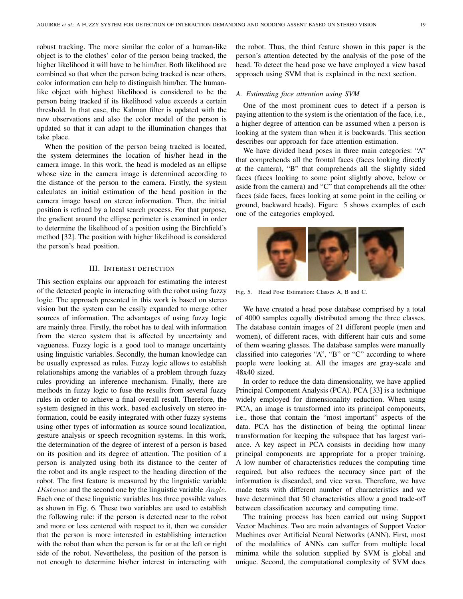robust tracking. The more similar the color of a human-like object is to the clothes' color of the person being tracked, the higher likelihood it will have to be him/her. Both likelihood are combined so that when the person being tracked is near others, color information can help to distinguish him/her. The humanlike object with highest likelihood is considered to be the person being tracked if its likelihood value exceeds a certain threshold. In that case, the Kalman filter is updated with the new observations and also the color model of the person is updated so that it can adapt to the illumination changes that take place.

When the position of the person being tracked is located, the system determines the location of his/her head in the camera image. In this work, the head is modeled as an ellipse whose size in the camera image is determined according to the distance of the person to the camera. Firstly, the system calculates an initial estimation of the head position in the camera image based on stereo information. Then, the initial position is refined by a local search process. For that purpose, the gradient around the ellipse perimeter is examined in order to determine the likelihood of a position using the Birchfield's method [32]. The position with higher likelihood is considered the person's head position.

## III. INTEREST DETECTION

This section explains our approach for estimating the interest of the detected people in interacting with the robot using fuzzy logic. The approach presented in this work is based on stereo vision but the system can be easily expanded to merge other sources of information. The advantages of using fuzzy logic are mainly three. Firstly, the robot has to deal with information from the stereo system that is affected by uncertainty and vagueness. Fuzzy logic is a good tool to manage uncertainty using linguistic variables. Secondly, the human knowledge can be usually expressed as rules. Fuzzy logic allows to establish relationships among the variables of a problem through fuzzy rules providing an inference mechanism. Finally, there are methods in fuzzy logic to fuse the results from several fuzzy rules in order to achieve a final overall result. Therefore, the system designed in this work, based exclusively on stereo information, could be easily integrated with other fuzzy systems using other types of information as source sound localization, gesture analysis or speech recognition systems. In this work, the determination of the degree of interest of a person is based on its position and its degree of attention. The position of a person is analyzed using both its distance to the center of the robot and its angle respect to the heading direction of the robot. The first feature is measured by the linguistic variable Distance and the second one by the linguistic variable Angle. Each one of these linguistic variables has three possible values as shown in Fig. 6. These two variables are used to establish the following rule: if the person is detected near to the robot and more or less centered with respect to it, then we consider that the person is more interested in establishing interaction with the robot than when the person is far or at the left or right side of the robot. Nevertheless, the position of the person is not enough to determine his/her interest in interacting with the robot. Thus, the third feature shown in this paper is the person's attention detected by the analysis of the pose of the head. To detect the head pose we have employed a view based approach using SVM that is explained in the next section.

#### *A. Estimating face attention using SVM*

One of the most prominent cues to detect if a person is paying attention to the system is the orientation of the face, i.e., a higher degree of attention can be assumed when a person is looking at the system than when it is backwards. This section describes our approach for face attention estimation.

We have divided head poses in three main categories: "A" that comprehends all the frontal faces (faces looking directly at the camera), "B" that comprehends all the slightly sided faces (faces looking to some point slightly above, below or aside from the camera) and "C" that comprehends all the other faces (side faces, faces looking at some point in the ceiling or ground, backward heads). Figure 5 shows examples of each one of the categories employed.



Fig. 5. Head Pose Estimation: Classes A, B and C.

We have created a head pose database comprised by a total of 4000 samples equally distributed among the three classes. The database contain images of 21 different people (men and women), of different races, with different hair cuts and some of them wearing glasses. The database samples were manually classified into categories "A", "B" or "C" according to where people were looking at. All the images are gray-scale and 48x40 sized.

In order to reduce the data dimensionality, we have applied Principal Component Analysis (PCA). PCA [33] is a technique widely employed for dimensionality reduction. When using PCA, an image is transformed into its principal components, i.e., those that contain the "most important" aspects of the data. PCA has the distinction of being the optimal linear transformation for keeping the subspace that has largest variance. A key aspect in PCA consists in deciding how many principal components are appropriate for a proper training. A low number of characteristics reduces the computing time required, but also reduces the accuracy since part of the information is discarded, and vice versa. Therefore, we have made tests with different number of characteristics and we have determined that 50 characteristics allow a good trade-off between classification accuracy and computing time.

The training process has been carried out using Support Vector Machines. Two are main advantages of Support Vector Machines over Artificial Neural Networks (ANN). First, most of the modalities of ANNs can suffer from multiple local minima while the solution supplied by SVM is global and unique. Second, the computational complexity of SVM does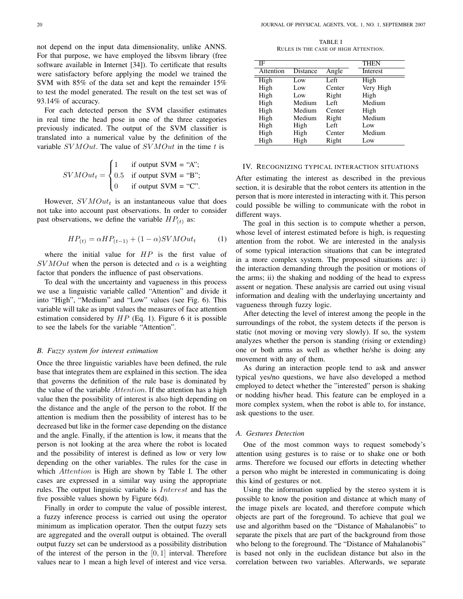not depend on the input data dimensionality, unlike ANNS. For that purpose, we have employed the libsvm library (free software available in Internet [34]). To certificate that results were satisfactory before applying the model we trained the SVM with 85% of the data set and kept the remainder 15% to test the model generated. The result on the test set was of 93.14% of accuracy.

For each detected person the SVM classifier estimates in real time the head pose in one of the three categories previously indicated. The output of the SVM classifier is translated into a numerical value by the definition of the variable  $SVMOut$ . The value of  $SVMOut$  in the time t is

$$
SVMOut_t = \begin{cases} 1 & \text{if output SVM = "A";} \\ 0.5 & \text{if output SVM = "B";} \\ 0 & \text{if output SVM = "C".} \end{cases}
$$

However,  $SVMOut_t$  is an instantaneous value that does not take into account past observations. In order to consider past observations, we define the variable  $HP_{(t)}$  as:

$$
HP_{(t)} = \alpha HP_{(t-1)} + (1-\alpha)SVMOut_t \tag{1}
$$

where the initial value for  $HP$  is the first value of  $SVMOut$  when the person is detected and  $\alpha$  is a weighting factor that ponders the influence of past observations.

To deal with the uncertainty and vagueness in this process we use a linguistic variable called "Attention" and divide it into "High", "Medium" and "Low" values (see Fig. 6). This variable will take as input values the measures of face attention estimation considered by  $HP$  (Eq. 1). Figure 6 it is possible to see the labels for the variable "Attention".

#### *B. Fuzzy system for interest estimation*

Once the three linguistic variables have been defined, the rule base that integrates them are explained in this section. The idea that governs the definition of the rule base is dominated by the value of the variable Attention. If the attention has a high value then the possibility of interest is also high depending on the distance and the angle of the person to the robot. If the attention is medium then the possibility of interest has to be decreased but like in the former case depending on the distance and the angle. Finally, if the attention is low, it means that the person is not looking at the area where the robot is located and the possibility of interest is defined as low or very low depending on the other variables. The rules for the case in which *Attention* is High are shown by Table I. The other cases are expressed in a similar way using the appropriate rules. The output linguistic variable is Interest and has the five possible values shown by Figure 6(d).

Finally in order to compute the value of possible interest, a fuzzy inference process is carried out using the operator minimum as implication operator. Then the output fuzzy sets are aggregated and the overall output is obtained. The overall output fuzzy set can be understood as a possibility distribution of the interest of the person in the  $[0, 1]$  interval. Therefore values near to 1 mean a high level of interest and vice versa.

TABLE I RULES IN THE CASE OF HIGH ATTENTION.

| IF        |          |        | <b>THEN</b> |
|-----------|----------|--------|-------------|
| Attention | Distance | Angle  | Interest    |
| High      | Low      | Left   | High        |
| High      | Low      | Center | Very High   |
| High      | Low      | Right  | High        |
| High      | Medium   | Left   | Medium      |
| High      | Medium   | Center | High        |
| High      | Medium   | Right  | Medium      |
| High      | High     | Left   | Low         |
| High      | High     | Center | Medium      |
| High      | High     | Right  | Low         |

## IV. RECOGNIZING TYPICAL INTERACTION SITUATIONS

After estimating the interest as described in the previous section, it is desirable that the robot centers its attention in the person that is more interested in interacting with it. This person could possible be willing to communicate with the robot in different ways.

The goal in this section is to compute whether a person, whose level of interest estimated before is high, is requesting attention from the robot. We are interested in the analysis of some typical interaction situations that can be integrated in a more complex system. The proposed situations are: i) the interaction demanding through the position or motions of the arms; ii) the shaking and nodding of the head to express assent or negation. These analysis are carried out using visual information and dealing with the underlaying uncertainty and vagueness through fuzzy logic.

After detecting the level of interest among the people in the surroundings of the robot, the system detects if the person is static (not moving or moving very slowly). If so, the system analyzes whether the person is standing (rising or extending) one or both arms as well as whether he/she is doing any movement with any of them.

As during an interaction people tend to ask and answer typical yes/no questions, we have also developed a method employed to detect whether the "interested" person is shaking or nodding his/her head. This feature can be employed in a more complex system, when the robot is able to, for instance, ask questions to the user.

# *A. Gestures Detection*

One of the most common ways to request somebody's attention using gestures is to raise or to shake one or both arms. Therefore we focused our efforts in detecting whether a person who might be interested in communicating is doing this kind of gestures or not.

Using the information supplied by the stereo system it is possible to know the position and distance at which many of the image pixels are located, and therefore compute which objects are part of the foreground. To achieve that goal we use and algorithm based on the "Distance of Mahalanobis" to separate the pixels that are part of the background from those who belong to the foreground. The "Distance of Mahalanobis" is based not only in the euclidean distance but also in the correlation between two variables. Afterwards, we separate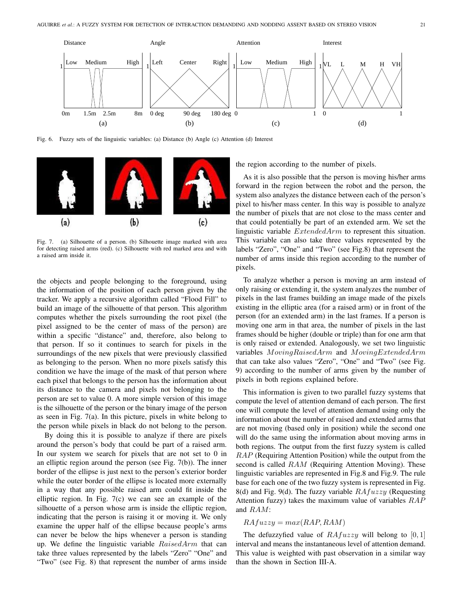

Fig. 6. Fuzzy sets of the linguistic variables: (a) Distance (b) Angle (c) Attention (d) Interest



Fig. 7. (a) Silhouette of a person. (b) Silhouette image marked with area for detecting raised arms (red). (c) Silhouette with red marked area and with a raised arm inside it.

the objects and people belonging to the foreground, using the information of the position of each person given by the tracker. We apply a recursive algorithm called "Flood Fill" to build an image of the silhouette of that person. This algorithm computes whether the pixels surrounding the root pixel (the pixel assigned to be the center of mass of the person) are within a specific "distance" and, therefore, also belong to that person. If so it continues to search for pixels in the surroundings of the new pixels that were previously classified as belonging to the person. When no more pixels satisfy this condition we have the image of the mask of that person where each pixel that belongs to the person has the information about its distance to the camera and pixels not belonging to the person are set to value 0. A more simple version of this image is the silhouette of the person or the binary image of the person as seen in Fig. 7(a). In this picture, pixels in white belong to the person while pixels in black do not belong to the person.

By doing this it is possible to analyze if there are pixels around the person's body that could be part of a raised arm. In our system we search for pixels that are not set to 0 in an elliptic region around the person (see Fig. 7(b)). The inner border of the ellipse is just next to the person's exterior border while the outer border of the ellipse is located more externally in a way that any possible raised arm could fit inside the elliptic region. In Fig. 7(c) we can see an example of the silhouette of a person whose arm is inside the elliptic region, indicating that the person is raising it or moving it. We only examine the upper half of the ellipse because people's arms can never be below the hips whenever a person is standing up. We define the linguistic variable  $RaisedArm$  that can take three values represented by the labels "Zero" "One" and "Two" (see Fig. 8) that represent the number of arms inside

the region according to the number of pixels.

As it is also possible that the person is moving his/her arms forward in the region between the robot and the person, the system also analyzes the distance between each of the person's pixel to his/her mass center. In this way is possible to analyze the number of pixels that are not close to the mass center and that could potentially be part of an extended arm. We set the linguistic variable ExtendedArm to represent this situation. This variable can also take three values represented by the labels "Zero", "One" and "Two" (see Fig.8) that represent the number of arms inside this region according to the number of pixels.

To analyze whether a person is moving an arm instead of only raising or extending it, the system analyzes the number of pixels in the last frames building an image made of the pixels existing in the elliptic area (for a raised arm) or in front of the person (for an extended arm) in the last frames. If a person is moving one arm in that area, the number of pixels in the last frames should be higher (double or triple) than for one arm that is only raised or extended. Analogously, we set two linguistic variables MovingRaisedArm and MovingExtendedArm that can take also values "Zero", "One" and "Two" (see Fig. 9) according to the number of arms given by the number of pixels in both regions explained before.

This information is given to two parallel fuzzy systems that compute the level of attention demand of each person. The first one will compute the level of attention demand using only the information about the number of raised and extended arms that are not moving (based only in position) while the second one will do the same using the information about moving arms in both regions. The output from the first fuzzy system is called RAP (Requiring Attention Position) while the output from the second is called RAM (Requiring Attention Moving). These linguistic variables are represented in Fig.8 and Fig.9. The rule base for each one of the two fuzzy system is represented in Fig. 8(d) and Fig. 9(d). The fuzzy variable  $RAfuzzy$  (Requesting Attention fuzzy) takes the maximum value of variables  $RAP$ and RAM:

#### $RAfuzzy = max(RAP, RAM)$

The defuzzyfied value of  $RAfuzzy$  will belong to [0, 1] interval and means the instantaneous level of attention demand. This value is weighted with past observation in a similar way than the shown in Section III-A.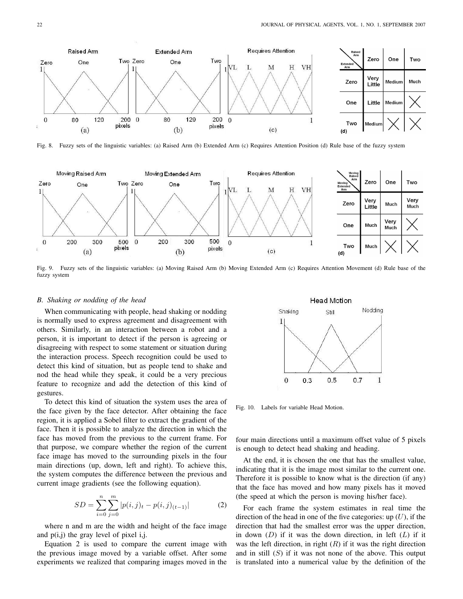

Fig. 8. Fuzzy sets of the linguistic variables: (a) Raised Arm (b) Extended Arm (c) Requires Attention Position (d) Rule base of the fuzzy system



Fig. 9. Fuzzy sets of the linguistic variables: (a) Moving Raised Arm (b) Moving Extended Arm (c) Requires Attention Movement (d) Rule base of the fuzzy system

# *B. Shaking or nodding of the head*

When communicating with people, head shaking or nodding is normally used to express agreement and disagreement with others. Similarly, in an interaction between a robot and a person, it is important to detect if the person is agreeing or disagreeing with respect to some statement or situation during the interaction process. Speech recognition could be used to detect this kind of situation, but as people tend to shake and nod the head while they speak, it could be a very precious feature to recognize and add the detection of this kind of gestures.

To detect this kind of situation the system uses the area of the face given by the face detector. After obtaining the face region, it is applied a Sobel filter to extract the gradient of the face. Then it is possible to analyze the direction in which the face has moved from the previous to the current frame. For that purpose, we compare whether the region of the current face image has moved to the surrounding pixels in the four main directions (up, down, left and right). To achieve this, the system computes the difference between the previous and current image gradients (see the following equation).

$$
SD = \sum_{i=0}^{n} \sum_{j=0}^{m} |p(i,j)_{t} - p(i,j)_{(t-1)}|
$$
 (2)

where n and m are the width and height of the face image and  $p(i,j)$  the gray level of pixel i,j.

Equation 2 is used to compare the current image with the previous image moved by a variable offset. After some experiments we realized that comparing images moved in the



Fig. 10. Labels for variable Head Motion.

four main directions until a maximum offset value of 5 pixels is enough to detect head shaking and heading.

At the end, it is chosen the one that has the smallest value, indicating that it is the image most similar to the current one. Therefore it is possible to know what is the direction (if any) that the face has moved and how many pixels has it moved (the speed at which the person is moving his/her face).

For each frame the system estimates in real time the direction of the head in one of the five categories: up  $(U)$ , if the direction that had the smallest error was the upper direction, in down  $(D)$  if it was the down direction, in left  $(L)$  if it was the left direction, in right  $(R)$  if it was the right direction and in still  $(S)$  if it was not none of the above. This output is translated into a numerical value by the definition of the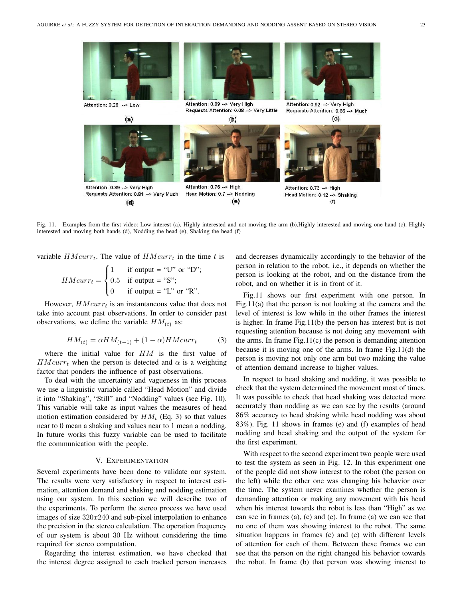

Fig. 11. Examples from the first video: Low interest (a), Highly interested and not moving the arm (b),Highly interested and moving one hand (c), Highly interested and moving both hands (d), Nodding the head (e), Shaking the head (f)

variable  $HMcurr_t$ . The value of  $HMcurr_t$  in the time t is

$$
HMcurr_t = \begin{cases} 1 & \text{if output = "U" or "D";} \\ 0.5 & \text{if output = "S";} \\ 0 & \text{if output = "L" or "R".} \end{cases}
$$

However,  $HMcurr_t$  is an instantaneous value that does not take into account past observations. In order to consider past observations, we define the variable  $HM_{(t)}$  as:

$$
HM_{(t)} = \alpha HM_{(t-1)} + (1 - \alpha) HMcurr_t \tag{3}
$$

where the initial value for  $HM$  is the first value of  $HMcurr_t$  when the person is detected and  $\alpha$  is a weighting factor that ponders the influence of past observations.

To deal with the uncertainty and vagueness in this process we use a linguistic variable called "Head Motion" and divide it into "Shaking", "Still" and "Nodding" values (see Fig. 10). This variable will take as input values the measures of head motion estimation considered by  $HM_t$  (Eq. 3) so that values near to 0 mean a shaking and values near to 1 mean a nodding. In future works this fuzzy variable can be used to facilitate the communication with the people.

#### V. EXPERIMENTATION

Several experiments have been done to validate our system. The results were very satisfactory in respect to interest estimation, attention demand and shaking and nodding estimation using our system. In this section we will describe two of the experiments. To perform the stereo process we have used images of size  $320x240$  and sub-pixel interpolation to enhance the precision in the stereo calculation. The operation frequency of our system is about 30 Hz without considering the time required for stereo computation.

Regarding the interest estimation, we have checked that the interest degree assigned to each tracked person increases and decreases dynamically accordingly to the behavior of the person in relation to the robot, i.e., it depends on whether the person is looking at the robot, and on the distance from the robot, and on whether it is in front of it.

Fig.11 shows our first experiment with one person. In Fig.11(a) that the person is not looking at the camera and the level of interest is low while in the other frames the interest is higher. In frame Fig.11(b) the person has interest but is not requesting attention because is not doing any movement with the arms. In frame  $Fig.11(c)$  the person is demanding attention because it is moving one of the arms. In frame Fig.11(d) the person is moving not only one arm but two making the value of attention demand increase to higher values.

In respect to head shaking and nodding, it was possible to check that the system determined the movement most of times. It was possible to check that head shaking was detected more accurately than nodding as we can see by the results (around 86% accuracy to head shaking while head nodding was about 83%). Fig. 11 shows in frames (e) and (f) examples of head nodding and head shaking and the output of the system for the first experiment.

With respect to the second experiment two people were used to test the system as seen in Fig. 12. In this experiment one of the people did not show interest to the robot (the person on the left) while the other one was changing his behavior over the time. The system never examines whether the person is demanding attention or making any movement with his head when his interest towards the robot is less than "High" as we can see in frames (a), (c) and (e). In frame (a) we can see that no one of them was showing interest to the robot. The same situation happens in frames (c) and (e) with different levels of attention for each of them. Between these frames we can see that the person on the right changed his behavior towards the robot. In frame (b) that person was showing interest to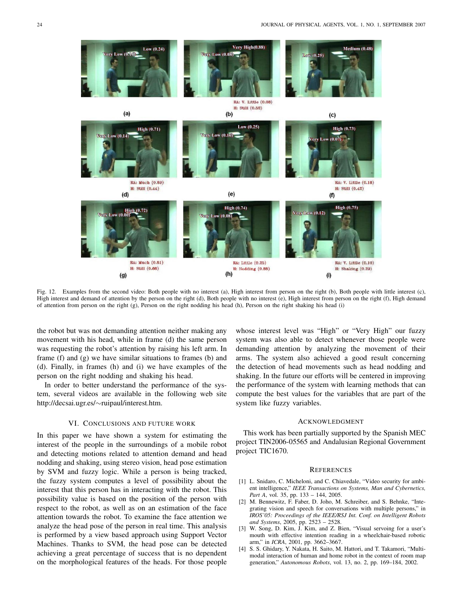

Fig. 12. Examples from the second video: Both people with no interest (a), High interest from person on the right (b), Both people with little interest (c), High interest and demand of attention by the person on the right (d), Both people with no interest (e), High interest from person on the right (f), High demand of attention from person on the right (g), Person on the right nodding his head (h), Person on the right shaking his head (i)

the robot but was not demanding attention neither making any movement with his head, while in frame (d) the same person was requesting the robot's attention by raising his left arm. In frame (f) and (g) we have similar situations to frames (b) and (d). Finally, in frames (h) and (i) we have examples of the person on the right nodding and shaking his head.

In order to better understand the performance of the system, several videos are available in the following web site http://decsai.ugr.es/∼ruipaul/interest.htm.

## VI. CONCLUSIONS AND FUTURE WORK

In this paper we have shown a system for estimating the interest of the people in the surroundings of a mobile robot and detecting motions related to attention demand and head nodding and shaking, using stereo vision, head pose estimation by SVM and fuzzy logic. While a person is being tracked, the fuzzy system computes a level of possibility about the interest that this person has in interacting with the robot. This possibility value is based on the position of the person with respect to the robot, as well as on an estimation of the face attention towards the robot. To examine the face attention we analyze the head pose of the person in real time. This analysis is performed by a view based approach using Support Vector Machines. Thanks to SVM, the head pose can be detected achieving a great percentage of success that is no dependent on the morphological features of the heads. For those people

whose interest level was "High" or "Very High" our fuzzy system was also able to detect whenever those people were demanding attention by analyzing the movement of their arms. The system also achieved a good result concerning the detection of head movements such as head nodding and shaking. In the future our efforts will be centered in improving the performance of the system with learning methods that can compute the best values for the variables that are part of the system like fuzzy variables.

## ACKNOWLEDGMENT

This work has been partially supported by the Spanish MEC project TIN2006-05565 and Andalusian Regional Government project TIC1670.

#### **REFERENCES**

- [1] L. Snidaro, C. Micheloni, and C. Chiavedale, "Video security for ambient intelligence," *IEEE Transactions on Systems, Man and Cybernetics, Part A*, vol. 35, pp. 133 – 144, 2005.
- [2] M. Bennewitz, F. Faber, D. Joho, M. Schreiber, and S. Behnke, "Integrating vision and speech for conversations with multiple persons," in *IROS'05: Proceedings of the IEEE/RSJ Int. Conf. on Intelligent Robots and Systems*, 2005, pp. 2523 – 2528.
- [3] W. Song, D. Kim, J. Kim, and Z. Bien, "Visual servoing for a user's mouth with effective intention reading in a wheelchair-based robotic arm," in *ICRA*, 2001, pp. 3662–3667.
- [4] S. S. Ghidary, Y. Nakata, H. Saito, M. Hattori, and T. Takamori, "Multimodal interaction of human and home robot in the context of room map generation," *Autonomous Robots*, vol. 13, no. 2, pp. 169–184, 2002.